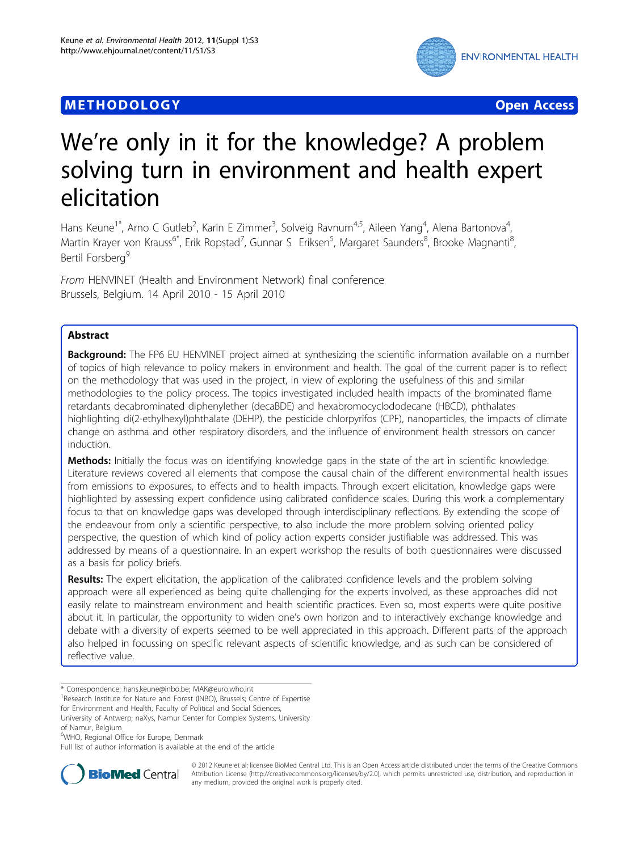# **METHODOLOGY CONSUMING ACCESS**



# We're only in it for the knowledge? A problem solving turn in environment and health expert elicitation

Hans Keune<sup>1\*</sup>, Arno C Gutleb<sup>2</sup>, Karin E Zimmer<sup>3</sup>, Solveig Ravnum<sup>4,5</sup>, Aileen Yang<sup>4</sup>, Alena Bartonova<sup>4</sup> , Martin Krayer von Krauss<sup>6\*</sup>, Erik Ropstad<sup>7</sup>, Gunnar S Eriksen<sup>5</sup>, Margaret Saunders<sup>8</sup>, Brooke Magnanti<sup>8</sup> , Bertil Forsberg<sup>9</sup>

From HENVINET (Health and Environment Network) final conference Brussels, Belgium. 14 April 2010 - 15 April 2010

# Abstract

Background: The FP6 EU HENVINET project aimed at synthesizing the scientific information available on a number of topics of high relevance to policy makers in environment and health. The goal of the current paper is to reflect on the methodology that was used in the project, in view of exploring the usefulness of this and similar methodologies to the policy process. The topics investigated included health impacts of the brominated flame retardants decabrominated diphenylether (decaBDE) and hexabromocyclododecane (HBCD), phthalates highlighting di(2-ethylhexyl)phthalate (DEHP), the pesticide chlorpyrifos (CPF), nanoparticles, the impacts of climate change on asthma and other respiratory disorders, and the influence of environment health stressors on cancer induction.

Methods: Initially the focus was on identifying knowledge gaps in the state of the art in scientific knowledge. Literature reviews covered all elements that compose the causal chain of the different environmental health issues from emissions to exposures, to effects and to health impacts. Through expert elicitation, knowledge gaps were highlighted by assessing expert confidence using calibrated confidence scales. During this work a complementary focus to that on knowledge gaps was developed through interdisciplinary reflections. By extending the scope of the endeavour from only a scientific perspective, to also include the more problem solving oriented policy perspective, the question of which kind of policy action experts consider justifiable was addressed. This was addressed by means of a questionnaire. In an expert workshop the results of both questionnaires were discussed as a basis for policy briefs.

Results: The expert elicitation, the application of the calibrated confidence levels and the problem solving approach were all experienced as being quite challenging for the experts involved, as these approaches did not easily relate to mainstream environment and health scientific practices. Even so, most experts were quite positive about it. In particular, the opportunity to widen one's own horizon and to interactively exchange knowledge and debate with a diversity of experts seemed to be well appreciated in this approach. Different parts of the approach also helped in focussing on specific relevant aspects of scientific knowledge, and as such can be considered of reflective value.

\* Correspondence: [hans.keune@inbo.be](mailto:hans.keune@inbo.be); [MAK@euro.who.int](mailto:MAK@euro.who.int)

for Environment and Health, Faculty of Political and Social Sciences,

of Namur, Belgium

6 WHO, Regional Office for Europe, Denmark

Full list of author information is available at the end of the article



© 2012 Keune et al; licensee BioMed Central Ltd. This is an Open Access article distributed under the terms of the Creative Commons Attribution License [\(http://creativecommons.org/licenses/by/2.0](http://creativecommons.org/licenses/by/2.0)), which permits unrestricted use, distribution, and reproduction in any medium, provided the original work is properly cited.

<sup>&</sup>lt;sup>1</sup> Research Institute for Nature and Forest (INBO), Brussels; Centre of Expertise

University of Antwerp; naXys, Namur Center for Complex Systems, University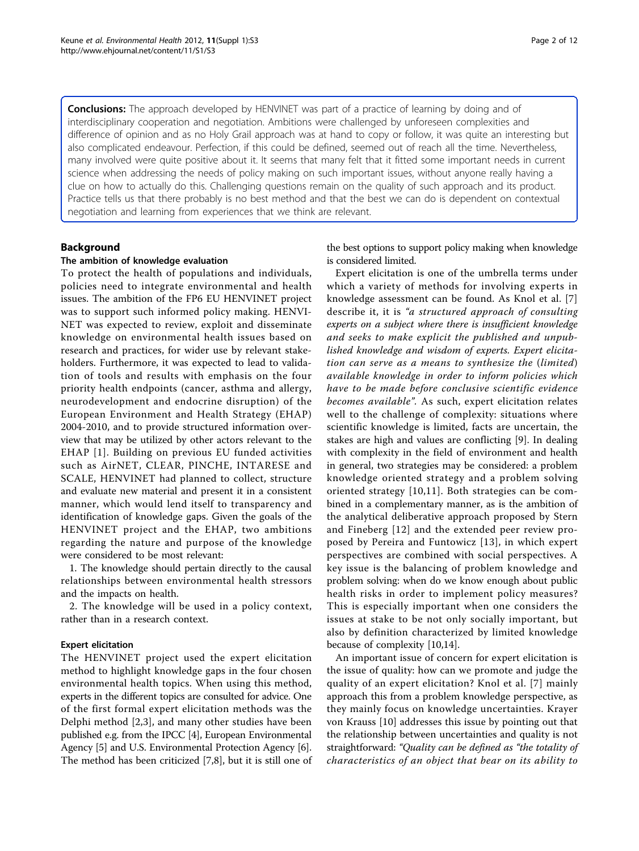**Conclusions:** The approach developed by HENVINET was part of a practice of learning by doing and of interdisciplinary cooperation and negotiation. Ambitions were challenged by unforeseen complexities and difference of opinion and as no Holy Grail approach was at hand to copy or follow, it was quite an interesting but also complicated endeavour. Perfection, if this could be defined, seemed out of reach all the time. Nevertheless, many involved were quite positive about it. It seems that many felt that it fitted some important needs in current science when addressing the needs of policy making on such important issues, without anyone really having a clue on how to actually do this. Challenging questions remain on the quality of such approach and its product. Practice tells us that there probably is no best method and that the best we can do is dependent on contextual negotiation and learning from experiences that we think are relevant.

## Background

#### The ambition of knowledge evaluation

To protect the health of populations and individuals, policies need to integrate environmental and health issues. The ambition of the FP6 EU HENVINET project was to support such informed policy making. HENVI-NET was expected to review, exploit and disseminate knowledge on environmental health issues based on research and practices, for wider use by relevant stakeholders. Furthermore, it was expected to lead to validation of tools and results with emphasis on the four priority health endpoints (cancer, asthma and allergy, neurodevelopment and endocrine disruption) of the European Environment and Health Strategy (EHAP) 2004-2010, and to provide structured information overview that may be utilized by other actors relevant to the EHAP [[1\]](#page-11-0). Building on previous EU funded activities such as AirNET, CLEAR, PINCHE, INTARESE and SCALE, HENVINET had planned to collect, structure and evaluate new material and present it in a consistent manner, which would lend itself to transparency and identification of knowledge gaps. Given the goals of the HENVINET project and the EHAP, two ambitions regarding the nature and purpose of the knowledge were considered to be most relevant:

1. The knowledge should pertain directly to the causal relationships between environmental health stressors and the impacts on health.

2. The knowledge will be used in a policy context, rather than in a research context.

#### Expert elicitation

The HENVINET project used the expert elicitation method to highlight knowledge gaps in the four chosen environmental health topics. When using this method, experts in the different topics are consulted for advice. One of the first formal expert elicitation methods was the Delphi method [[2,3](#page-11-0)], and many other studies have been published e.g. from the IPCC [\[4](#page-11-0)], European Environmental Agency [\[5](#page-11-0)] and U.S. Environmental Protection Agency [[6](#page-11-0)]. The method has been criticized [\[7,8](#page-11-0)], but it is still one of the best options to support policy making when knowledge is considered limited.

Expert elicitation is one of the umbrella terms under which a variety of methods for involving experts in knowledge assessment can be found. As Knol et al. [\[7](#page-11-0)] describe it, it is "a structured approach of consulting experts on a subject where there is insufficient knowledge and seeks to make explicit the published and unpublished knowledge and wisdom of experts. Expert elicitation can serve as a means to synthesize the (limited) available knowledge in order to inform policies which have to be made before conclusive scientific evidence becomes available". As such, expert elicitation relates well to the challenge of complexity: situations where scientific knowledge is limited, facts are uncertain, the stakes are high and values are conflicting [\[9](#page-11-0)]. In dealing with complexity in the field of environment and health in general, two strategies may be considered: a problem knowledge oriented strategy and a problem solving oriented strategy [[10,11\]](#page-11-0). Both strategies can be combined in a complementary manner, as is the ambition of the analytical deliberative approach proposed by Stern and Fineberg [[12](#page-11-0)] and the extended peer review proposed by Pereira and Funtowicz [[13](#page-11-0)], in which expert perspectives are combined with social perspectives. A key issue is the balancing of problem knowledge and problem solving: when do we know enough about public health risks in order to implement policy measures? This is especially important when one considers the issues at stake to be not only socially important, but also by definition characterized by limited knowledge because of complexity [[10](#page-11-0),[14](#page-11-0)].

An important issue of concern for expert elicitation is the issue of quality: how can we promote and judge the quality of an expert elicitation? Knol et al. [[7\]](#page-11-0) mainly approach this from a problem knowledge perspective, as they mainly focus on knowledge uncertainties. Krayer von Krauss [[10\]](#page-11-0) addresses this issue by pointing out that the relationship between uncertainties and quality is not straightforward: "Quality can be defined as "the totality of characteristics of an object that bear on its ability to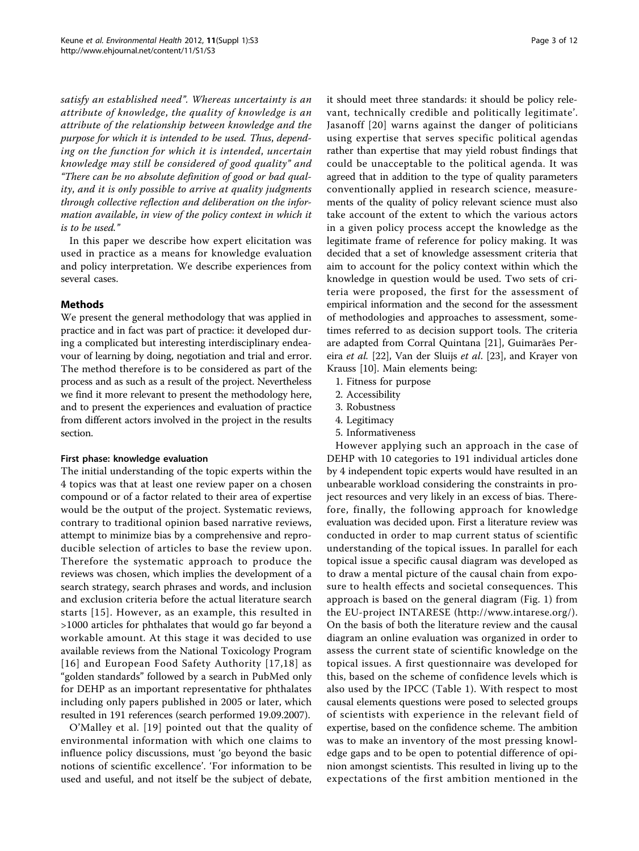satisfy an established need". Whereas uncertainty is an attribute of knowledge, the quality of knowledge is an attribute of the relationship between knowledge and the purpose for which it is intended to be used. Thus, depending on the function for which it is intended, uncertain knowledge may still be considered of good quality" and "There can be no absolute definition of good or bad quality, and it is only possible to arrive at quality judgments through collective reflection and deliberation on the information available, in view of the policy context in which it is to be used."

In this paper we describe how expert elicitation was used in practice as a means for knowledge evaluation and policy interpretation. We describe experiences from several cases.

# Methods

We present the general methodology that was applied in practice and in fact was part of practice: it developed during a complicated but interesting interdisciplinary endeavour of learning by doing, negotiation and trial and error. The method therefore is to be considered as part of the process and as such as a result of the project. Nevertheless we find it more relevant to present the methodology here, and to present the experiences and evaluation of practice from different actors involved in the project in the results section.

#### First phase: knowledge evaluation

The initial understanding of the topic experts within the 4 topics was that at least one review paper on a chosen compound or of a factor related to their area of expertise would be the output of the project. Systematic reviews, contrary to traditional opinion based narrative reviews, attempt to minimize bias by a comprehensive and reproducible selection of articles to base the review upon. Therefore the systematic approach to produce the reviews was chosen, which implies the development of a search strategy, search phrases and words, and inclusion and exclusion criteria before the actual literature search starts [[15\]](#page-11-0). However, as an example, this resulted in >1000 articles for phthalates that would go far beyond a workable amount. At this stage it was decided to use available reviews from the National Toxicology Program [[16](#page-11-0)] and European Food Safety Authority [[17,18\]](#page-11-0) as "golden standards" followed by a search in PubMed only for DEHP as an important representative for phthalates including only papers published in 2005 or later, which resulted in 191 references (search performed 19.09.2007).

O'Malley et al. [[19\]](#page-11-0) pointed out that the quality of environmental information with which one claims to influence policy discussions, must 'go beyond the basic notions of scientific excellence'. 'For information to be used and useful, and not itself be the subject of debate, it should meet three standards: it should be policy relevant, technically credible and politically legitimate'. Jasanoff [[20](#page-11-0)] warns against the danger of politicians using expertise that serves specific political agendas rather than expertise that may yield robust findings that could be unacceptable to the political agenda. It was agreed that in addition to the type of quality parameters conventionally applied in research science, measurements of the quality of policy relevant science must also take account of the extent to which the various actors in a given policy process accept the knowledge as the legitimate frame of reference for policy making. It was decided that a set of knowledge assessment criteria that aim to account for the policy context within which the knowledge in question would be used. Two sets of criteria were proposed, the first for the assessment of empirical information and the second for the assessment of methodologies and approaches to assessment, sometimes referred to as decision support tools. The criteria are adapted from Corral Quintana [[21\]](#page-11-0), Guimarães Per-eira et al. [\[22\]](#page-11-0), Van der Sluijs et al. [[23](#page-11-0)], and Krayer von Krauss [\[10](#page-11-0)]. Main elements being:

- 1. Fitness for purpose
- 2. Accessibility
- 3. Robustness
- 4. Legitimacy
- 5. Informativeness

However applying such an approach in the case of DEHP with 10 categories to 191 individual articles done by 4 independent topic experts would have resulted in an unbearable workload considering the constraints in project resources and very likely in an excess of bias. Therefore, finally, the following approach for knowledge evaluation was decided upon. First a literature review was conducted in order to map current status of scientific understanding of the topical issues. In parallel for each topical issue a specific causal diagram was developed as to draw a mental picture of the causal chain from exposure to health effects and societal consequences. This approach is based on the general diagram (Fig. [1\)](#page-3-0) from the EU-project INTARESE ([http://www.intarese.org/\)](http://www.intarese.org/). On the basis of both the literature review and the causal diagram an online evaluation was organized in order to assess the current state of scientific knowledge on the topical issues. A first questionnaire was developed for this, based on the scheme of confidence levels which is also used by the IPCC (Table [1\)](#page-3-0). With respect to most causal elements questions were posed to selected groups of scientists with experience in the relevant field of expertise, based on the confidence scheme. The ambition was to make an inventory of the most pressing knowledge gaps and to be open to potential difference of opinion amongst scientists. This resulted in living up to the expectations of the first ambition mentioned in the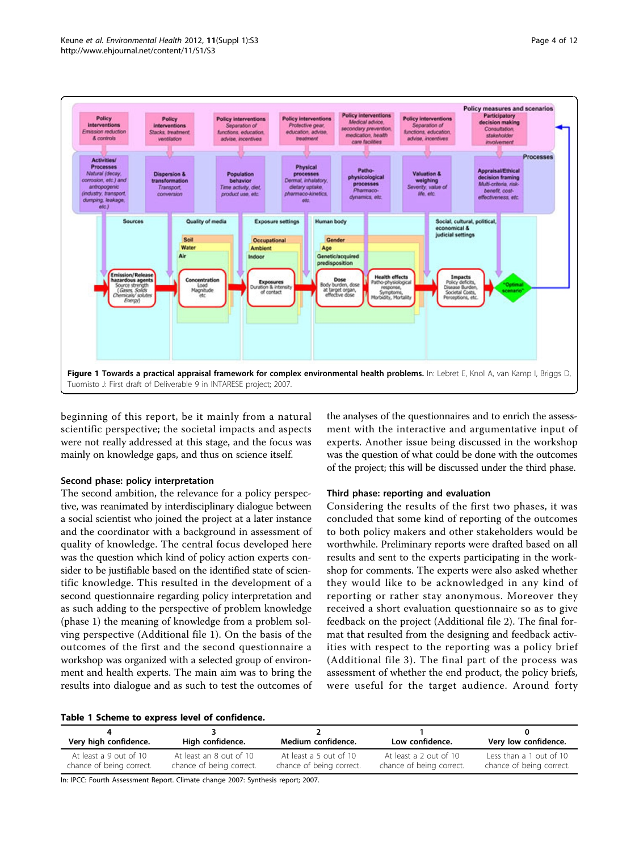<span id="page-3-0"></span>

beginning of this report, be it mainly from a natural scientific perspective; the societal impacts and aspects were not really addressed at this stage, and the focus was mainly on knowledge gaps, and thus on science itself.

# Second phase: policy interpretation

The second ambition, the relevance for a policy perspective, was reanimated by interdisciplinary dialogue between a social scientist who joined the project at a later instance and the coordinator with a background in assessment of quality of knowledge. The central focus developed here was the question which kind of policy action experts consider to be justifiable based on the identified state of scientific knowledge. This resulted in the development of a second questionnaire regarding policy interpretation and as such adding to the perspective of problem knowledge (phase 1) the meaning of knowledge from a problem solving perspective (Additional file [1\)](#page-10-0). On the basis of the outcomes of the first and the second questionnaire a workshop was organized with a selected group of environment and health experts. The main aim was to bring the results into dialogue and as such to test the outcomes of the analyses of the questionnaires and to enrich the assessment with the interactive and argumentative input of experts. Another issue being discussed in the workshop was the question of what could be done with the outcomes of the project; this will be discussed under the third phase.

#### Third phase: reporting and evaluation

Considering the results of the first two phases, it was concluded that some kind of reporting of the outcomes to both policy makers and other stakeholders would be worthwhile. Preliminary reports were drafted based on all results and sent to the experts participating in the workshop for comments. The experts were also asked whether they would like to be acknowledged in any kind of reporting or rather stay anonymous. Moreover they received a short evaluation questionnaire so as to give feedback on the project (Additional file [2\)](#page-10-0). The final format that resulted from the designing and feedback activities with respect to the reporting was a policy brief (Additional file [3\)](#page-10-0). The final part of the process was assessment of whether the end product, the policy briefs, were useful for the target audience. Around forty

#### Table 1 Scheme to express level of confidence.

| Very high confidence.    | High confidence.         | Medium confidence.       | Low confidence.          | Very low confidence.     |
|--------------------------|--------------------------|--------------------------|--------------------------|--------------------------|
| At least a 9 out of 10   | At least an 8 out of 10  | At least a 5 out of 10   | At least a 2 out of 10   | Less than a 1 out of 10  |
| chance of being correct. | chance of being correct. | chance of being correct. | chance of being correct. | chance of being correct. |

In: IPCC: Fourth Assessment Report. Climate change 2007: Synthesis report; 2007.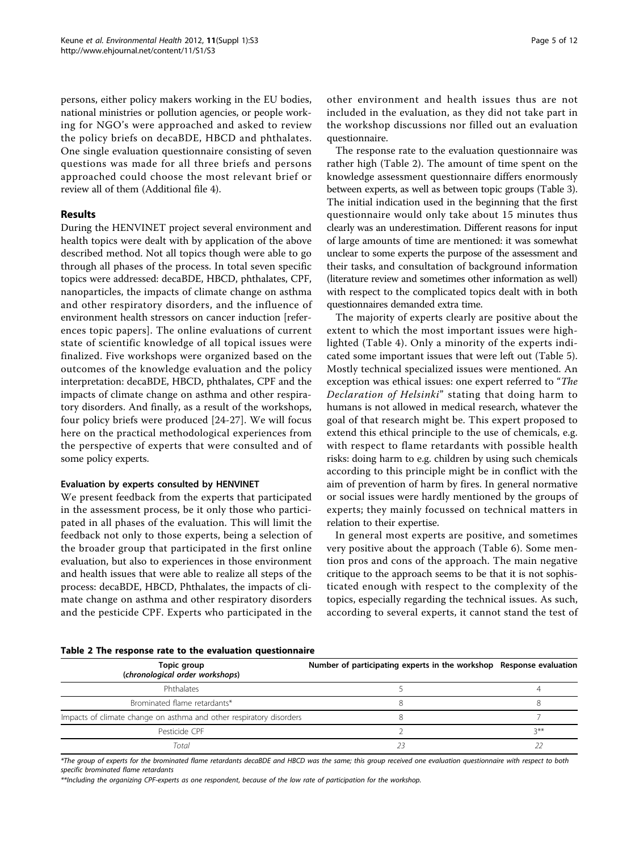persons, either policy makers working in the EU bodies, national ministries or pollution agencies, or people working for NGO's were approached and asked to review the policy briefs on decaBDE, HBCD and phthalates. One single evaluation questionnaire consisting of seven questions was made for all three briefs and persons approached could choose the most relevant brief or review all of them (Additional file [4\)](#page-10-0).

#### Results

During the HENVINET project several environment and health topics were dealt with by application of the above described method. Not all topics though were able to go through all phases of the process. In total seven specific topics were addressed: decaBDE, HBCD, phthalates, CPF, nanoparticles, the impacts of climate change on asthma and other respiratory disorders, and the influence of environment health stressors on cancer induction [references topic papers]. The online evaluations of current state of scientific knowledge of all topical issues were finalized. Five workshops were organized based on the outcomes of the knowledge evaluation and the policy interpretation: decaBDE, HBCD, phthalates, CPF and the impacts of climate change on asthma and other respiratory disorders. And finally, as a result of the workshops, four policy briefs were produced [\[24-27](#page-11-0)]. We will focus here on the practical methodological experiences from the perspective of experts that were consulted and of some policy experts.

#### Evaluation by experts consulted by HENVINET

We present feedback from the experts that participated in the assessment process, be it only those who participated in all phases of the evaluation. This will limit the feedback not only to those experts, being a selection of the broader group that participated in the first online evaluation, but also to experiences in those environment and health issues that were able to realize all steps of the process: decaBDE, HBCD, Phthalates, the impacts of climate change on asthma and other respiratory disorders and the pesticide CPF. Experts who participated in the other environment and health issues thus are not included in the evaluation, as they did not take part in the workshop discussions nor filled out an evaluation questionnaire.

The response rate to the evaluation questionnaire was rather high (Table 2). The amount of time spent on the knowledge assessment questionnaire differs enormously between experts, as well as between topic groups (Table [3](#page-5-0)). The initial indication used in the beginning that the first questionnaire would only take about 15 minutes thus clearly was an underestimation. Different reasons for input of large amounts of time are mentioned: it was somewhat unclear to some experts the purpose of the assessment and their tasks, and consultation of background information (literature review and sometimes other information as well) with respect to the complicated topics dealt with in both questionnaires demanded extra time.

The majority of experts clearly are positive about the extent to which the most important issues were highlighted (Table [4\)](#page-5-0). Only a minority of the experts indicated some important issues that were left out (Table [5](#page-6-0)). Mostly technical specialized issues were mentioned. An exception was ethical issues: one expert referred to "The Declaration of Helsinki" stating that doing harm to humans is not allowed in medical research, whatever the goal of that research might be. This expert proposed to extend this ethical principle to the use of chemicals, e.g. with respect to flame retardants with possible health risks: doing harm to e.g. children by using such chemicals according to this principle might be in conflict with the aim of prevention of harm by fires. In general normative or social issues were hardly mentioned by the groups of experts; they mainly focussed on technical matters in relation to their expertise.

In general most experts are positive, and sometimes very positive about the approach (Table [6\)](#page-6-0). Some mention pros and cons of the approach. The main negative critique to the approach seems to be that it is not sophisticated enough with respect to the complexity of the topics, especially regarding the technical issues. As such, according to several experts, it cannot stand the test of

| Table 2 The response rate to the evaluation questionnaire |  |
|-----------------------------------------------------------|--|
|-----------------------------------------------------------|--|

| Topic group<br>(chronological order workshops)                      | Number of participating experts in the workshop Response evaluation |       |
|---------------------------------------------------------------------|---------------------------------------------------------------------|-------|
| Phthalates                                                          |                                                                     |       |
| Brominated flame retardants*                                        |                                                                     |       |
| Impacts of climate change on asthma and other respiratory disorders |                                                                     |       |
| Pesticide CPF                                                       |                                                                     | $2**$ |
| Total                                                               |                                                                     |       |

\*The group of experts for the brominated flame retardants decaBDE and HBCD was the same; this group received one evaluation questionnaire with respect to both specific brominated flame retardants

\*\*Including the organizing CPF-experts as one respondent, because of the low rate of participation for the workshop.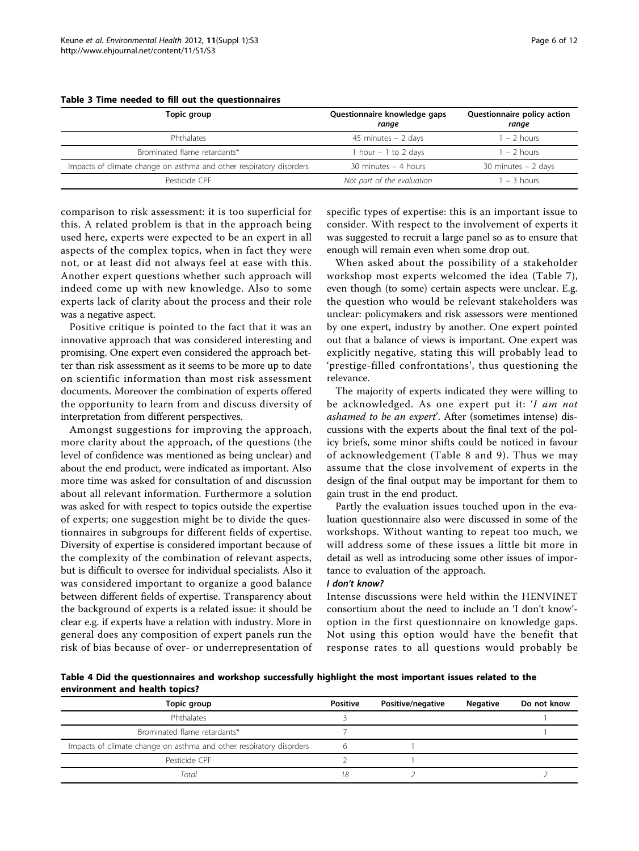| Topic group                                                         | Questionnaire knowledge gaps<br>range | Questionnaire policy action<br>range |  |
|---------------------------------------------------------------------|---------------------------------------|--------------------------------------|--|
| Phthalates                                                          | 45 minutes $-2$ days                  | $= 2$ hours                          |  |
| Brominated flame retardants*                                        | 1 hour - 1 to 2 days                  | $1 - 2$ hours                        |  |
| Impacts of climate change on asthma and other respiratory disorders | 30 minutes - 4 hours                  | 30 minutes $-2$ days                 |  |
| Pesticide CPF                                                       | Not part of the evaluation            | $1 - 3$ hours                        |  |

#### <span id="page-5-0"></span>Table 3 Time needed to fill out the questionnaires

comparison to risk assessment: it is too superficial for this. A related problem is that in the approach being used here, experts were expected to be an expert in all aspects of the complex topics, when in fact they were not, or at least did not always feel at ease with this. Another expert questions whether such approach will indeed come up with new knowledge. Also to some experts lack of clarity about the process and their role was a negative aspect.

Positive critique is pointed to the fact that it was an innovative approach that was considered interesting and promising. One expert even considered the approach better than risk assessment as it seems to be more up to date on scientific information than most risk assessment documents. Moreover the combination of experts offered the opportunity to learn from and discuss diversity of interpretation from different perspectives.

Amongst suggestions for improving the approach, more clarity about the approach, of the questions (the level of confidence was mentioned as being unclear) and about the end product, were indicated as important. Also more time was asked for consultation of and discussion about all relevant information. Furthermore a solution was asked for with respect to topics outside the expertise of experts; one suggestion might be to divide the questionnaires in subgroups for different fields of expertise. Diversity of expertise is considered important because of the complexity of the combination of relevant aspects, but is difficult to oversee for individual specialists. Also it was considered important to organize a good balance between different fields of expertise. Transparency about the background of experts is a related issue: it should be clear e.g. if experts have a relation with industry. More in general does any composition of expert panels run the risk of bias because of over- or underrepresentation of

specific types of expertise: this is an important issue to consider. With respect to the involvement of experts it was suggested to recruit a large panel so as to ensure that enough will remain even when some drop out.

When asked about the possibility of a stakeholder workshop most experts welcomed the idea (Table [7](#page-7-0)), even though (to some) certain aspects were unclear. E.g. the question who would be relevant stakeholders was unclear: policymakers and risk assessors were mentioned by one expert, industry by another. One expert pointed out that a balance of views is important. One expert was explicitly negative, stating this will probably lead to 'prestige-filled confrontations', thus questioning the relevance.

The majority of experts indicated they were willing to be acknowledged. As one expert put it: 'I am not ashamed to be an expert'. After (sometimes intense) discussions with the experts about the final text of the policy briefs, some minor shifts could be noticed in favour of acknowledgement (Table [8](#page-7-0) and [9](#page-8-0)). Thus we may assume that the close involvement of experts in the design of the final output may be important for them to gain trust in the end product.

Partly the evaluation issues touched upon in the evaluation questionnaire also were discussed in some of the workshops. Without wanting to repeat too much, we will address some of these issues a little bit more in detail as well as introducing some other issues of importance to evaluation of the approach.

#### I don't know?

Intense discussions were held within the HENVINET consortium about the need to include an 'I don't know' option in the first questionnaire on knowledge gaps. Not using this option would have the benefit that response rates to all questions would probably be

Table 4 Did the questionnaires and workshop successfully highlight the most important issues related to the environment and health topics?

| Topic group                                                         | Positive | Positive/negative | <b>Negative</b> | Do not know |
|---------------------------------------------------------------------|----------|-------------------|-----------------|-------------|
| Phthalates                                                          |          |                   |                 |             |
| Brominated flame retardants*                                        |          |                   |                 |             |
| Impacts of climate change on asthma and other respiratory disorders |          |                   |                 |             |
| Pesticide CPF                                                       |          |                   |                 |             |
| Total                                                               | 18       |                   |                 |             |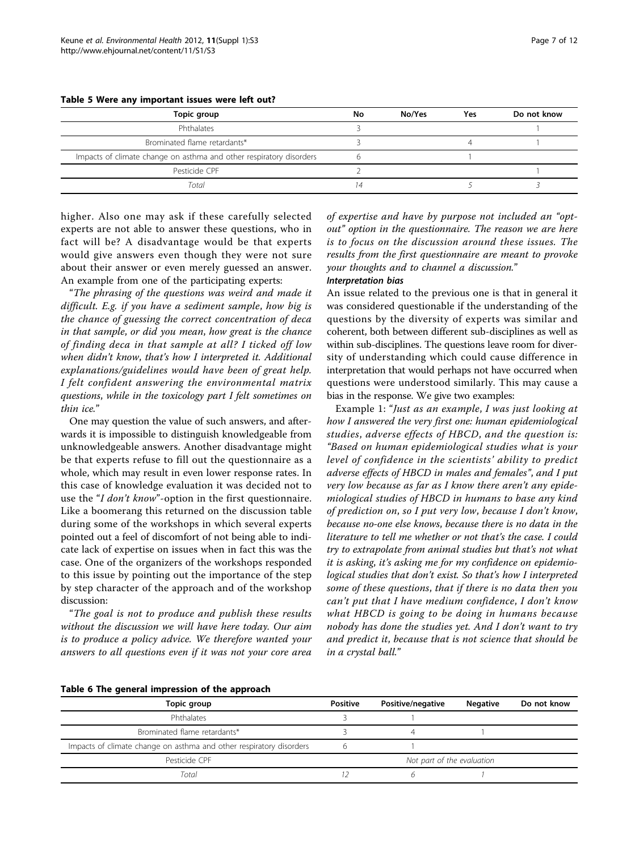| Table 5 Were any important issues were left out?                    |     |        |     |             |  |
|---------------------------------------------------------------------|-----|--------|-----|-------------|--|
| Topic group                                                         | No  | No/Yes | Yes | Do not know |  |
| Phthalates                                                          |     |        |     |             |  |
| Brominated flame retardants*                                        |     |        |     |             |  |
| Impacts of climate change on asthma and other respiratory disorders |     |        |     |             |  |
| Pesticide CPF                                                       |     |        |     |             |  |
| Total                                                               | i 4 |        |     |             |  |

<span id="page-6-0"></span>

higher. Also one may ask if these carefully selected experts are not able to answer these questions, who in fact will be? A disadvantage would be that experts would give answers even though they were not sure about their answer or even merely guessed an answer. An example from one of the participating experts:

"The phrasing of the questions was weird and made it difficult. E.g. if you have a sediment sample, how big is the chance of guessing the correct concentration of deca in that sample, or did you mean, how great is the chance of finding deca in that sample at all? I ticked off low when didn't know, that's how I interpreted it. Additional explanations/guidelines would have been of great help. I felt confident answering the environmental matrix questions, while in the toxicology part I felt sometimes on thin ice."

One may question the value of such answers, and afterwards it is impossible to distinguish knowledgeable from unknowledgeable answers. Another disadvantage might be that experts refuse to fill out the questionnaire as a whole, which may result in even lower response rates. In this case of knowledge evaluation it was decided not to use the "I don't know"-option in the first questionnaire. Like a boomerang this returned on the discussion table during some of the workshops in which several experts pointed out a feel of discomfort of not being able to indicate lack of expertise on issues when in fact this was the case. One of the organizers of the workshops responded to this issue by pointing out the importance of the step by step character of the approach and of the workshop discussion:

"The goal is not to produce and publish these results without the discussion we will have here today. Our aim is to produce a policy advice. We therefore wanted your answers to all questions even if it was not your core area of expertise and have by purpose not included an "optout" option in the questionnaire. The reason we are here is to focus on the discussion around these issues. The results from the first questionnaire are meant to provoke your thoughts and to channel a discussion."

#### Interpretation bias

An issue related to the previous one is that in general it was considered questionable if the understanding of the questions by the diversity of experts was similar and coherent, both between different sub-disciplines as well as within sub-disciplines. The questions leave room for diversity of understanding which could cause difference in interpretation that would perhaps not have occurred when questions were understood similarly. This may cause a bias in the response. We give two examples:

Example 1: "Just as an example, I was just looking at how I answered the very first one: human epidemiological studies, adverse effects of HBCD, and the question is: "Based on human epidemiological studies what is your level of confidence in the scientists' ability to predict adverse effects of HBCD in males and females", and I put very low because as far as I know there aren't any epidemiological studies of HBCD in humans to base any kind of prediction on, so I put very low, because I don't know, because no-one else knows, because there is no data in the literature to tell me whether or not that's the case. I could try to extrapolate from animal studies but that's not what it is asking, it's asking me for my confidence on epidemiological studies that don't exist. So that's how I interpreted some of these questions, that if there is no data then you can't put that I have medium confidence, I don't know what HBCD is going to be doing in humans because nobody has done the studies yet. And I don't want to try and predict it, because that is not science that should be in a crystal ball."

|  |  | Table 6 The general impression of the approach |  |  |  |  |
|--|--|------------------------------------------------|--|--|--|--|
|--|--|------------------------------------------------|--|--|--|--|

| Topic group                                                         | <b>Positive</b> | Positive/negative          | <b>Negative</b> | Do not know |
|---------------------------------------------------------------------|-----------------|----------------------------|-----------------|-------------|
| Phthalates                                                          |                 |                            |                 |             |
| Brominated flame retardants*                                        |                 |                            |                 |             |
| Impacts of climate change on asthma and other respiratory disorders |                 |                            |                 |             |
| Pesticide CPF                                                       |                 | Not part of the evaluation |                 |             |
| Total                                                               |                 |                            |                 |             |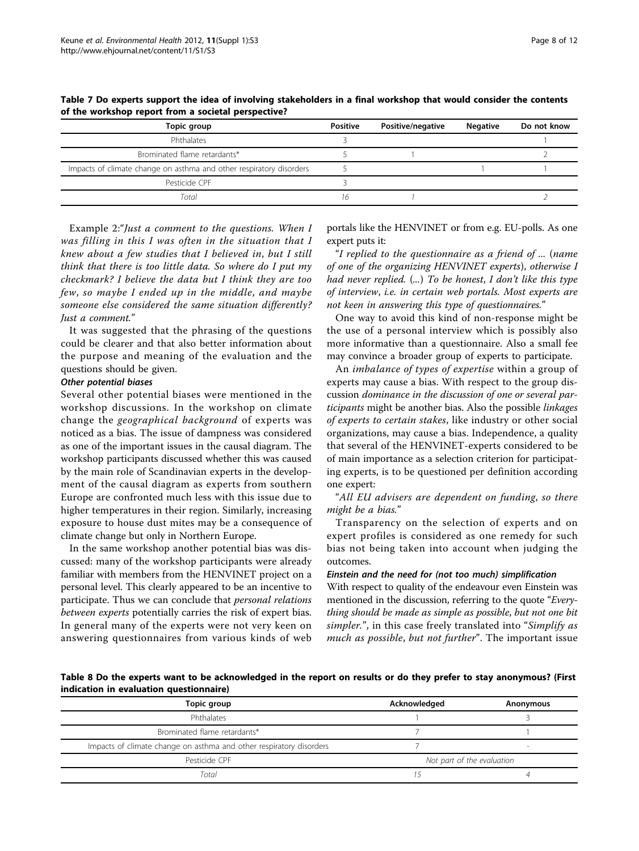| Topic group                                                         | <b>Positive</b> | Positive/negative | Negative | Do not know |
|---------------------------------------------------------------------|-----------------|-------------------|----------|-------------|
| Phthalates                                                          |                 |                   |          |             |
| Brominated flame retardants*                                        |                 |                   |          |             |
| Impacts of climate change on asthma and other respiratory disorders |                 |                   |          |             |
| Pesticide CPF                                                       |                 |                   |          |             |
| Total                                                               |                 |                   |          |             |

<span id="page-7-0"></span>Table 7 Do experts support the idea of involving stakeholders in a final workshop that would consider the contents of the workshop report from a societal perspective?

Example 2:"Just a comment to the questions. When I was filling in this I was often in the situation that I knew about a few studies that I believed in, but I still think that there is too little data. So where do I put my checkmark? I believe the data but I think they are too few, so maybe I ended up in the middle, and maybe someone else considered the same situation differently? Just a comment."

It was suggested that the phrasing of the questions could be clearer and that also better information about the purpose and meaning of the evaluation and the questions should be given.

#### Other potential biases

Several other potential biases were mentioned in the workshop discussions. In the workshop on climate change the geographical background of experts was noticed as a bias. The issue of dampness was considered as one of the important issues in the causal diagram. The workshop participants discussed whether this was caused by the main role of Scandinavian experts in the development of the causal diagram as experts from southern Europe are confronted much less with this issue due to higher temperatures in their region. Similarly, increasing exposure to house dust mites may be a consequence of climate change but only in Northern Europe.

In the same workshop another potential bias was discussed: many of the workshop participants were already familiar with members from the HENVINET project on a personal level. This clearly appeared to be an incentive to participate. Thus we can conclude that personal relations between experts potentially carries the risk of expert bias. In general many of the experts were not very keen on answering questionnaires from various kinds of web

portals like the HENVINET or from e.g. EU-polls. As one expert puts it:

"I replied to the questionnaire as a friend of ... (name of one of the organizing HENVINET experts), otherwise I had never replied. (...) To be honest, I don't like this type of interview, i.e. in certain web portals. Most experts are not keen in answering this type of questionnaires."

One way to avoid this kind of non-response might be the use of a personal interview which is possibly also more informative than a questionnaire. Also a small fee may convince a broader group of experts to participate.

An imbalance of types of expertise within a group of experts may cause a bias. With respect to the group discussion dominance in the discussion of one or several participants might be another bias. Also the possible linkages of experts to certain stakes, like industry or other social organizations, may cause a bias. Independence, a quality that several of the HENVINET-experts considered to be of main importance as a selection criterion for participating experts, is to be questioned per definition according one expert:

"All EU advisers are dependent on funding, so there might be a bias."

Transparency on the selection of experts and on expert profiles is considered as one remedy for such bias not being taken into account when judging the outcomes.

## Einstein and the need for (not too much) simplification

With respect to quality of the endeavour even Einstein was mentioned in the discussion, referring to the quote "Everything should be made as simple as possible, but not one bit simpler.", in this case freely translated into "Simplify as much as possible, but not further". The important issue

Table 8 Do the experts want to be acknowledged in the report on results or do they prefer to stay anonymous? (First indication in evaluation questionnaire)

| Topic group                                                         | Acknowledged               | Anonymous |
|---------------------------------------------------------------------|----------------------------|-----------|
| Phthalates                                                          |                            |           |
| Brominated flame retardants*                                        |                            |           |
| Impacts of climate change on asthma and other respiratory disorders |                            | $\sim$    |
| Pesticide CPF                                                       | Not part of the evaluation |           |
| Total                                                               |                            |           |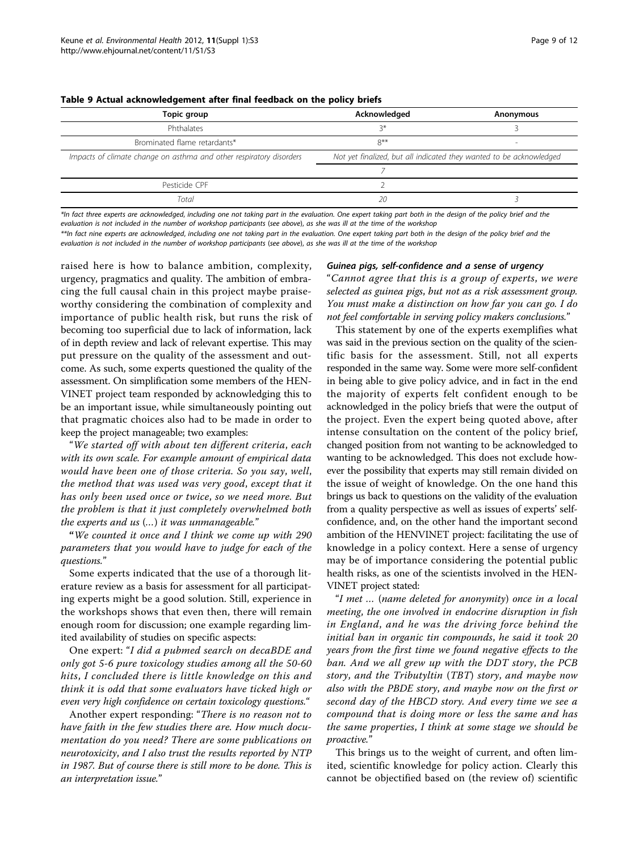Total 33 and 20 33 and 20 33 and 20 33 and 20 33 and 20 33 and 20 33 and 20 33 and 20 33 and 20 33 and 20 33 and 20 33 and 20 33 and 20 33 and 20 33 and 20 33 and 20 33 and 20 33 and 20 33 and 20 33 and 20 33 and 20 33 and

<span id="page-8-0"></span>

\*In fact three experts are acknowledged, including one not taking part in the evaluation. One expert taking part both in the design of the policy brief and the evaluation is not included in the number of workshop participants (see above), as she was ill at the time of the workshop

Pesticide CPF 2

\*\*In fact nine experts are acknowledged, including one not taking part in the evaluation. One expert taking part both in the design of the policy brief and the evaluation is not included in the number of workshop participants (see above), as she was ill at the time of the workshop

raised here is how to balance ambition, complexity, urgency, pragmatics and quality. The ambition of embracing the full causal chain in this project maybe praiseworthy considering the combination of complexity and importance of public health risk, but runs the risk of becoming too superficial due to lack of information, lack of in depth review and lack of relevant expertise. This may put pressure on the quality of the assessment and outcome. As such, some experts questioned the quality of the assessment. On simplification some members of the HEN-VINET project team responded by acknowledging this to be an important issue, while simultaneously pointing out that pragmatic choices also had to be made in order to keep the project manageable; two examples:

"We started off with about ten different criteria, each with its own scale. For example amount of empirical data would have been one of those criteria. So you say, well, the method that was used was very good, except that it has only been used once or twice, so we need more. But the problem is that it just completely overwhelmed both the experts and us (…) it was unmanageable."

"We counted it once and I think we come up with 290 parameters that you would have to judge for each of the questions."

Some experts indicated that the use of a thorough literature review as a basis for assessment for all participating experts might be a good solution. Still, experience in the workshops shows that even then, there will remain enough room for discussion; one example regarding limited availability of studies on specific aspects:

One expert: "I did a pubmed search on decaBDE and only got 5-6 pure toxicology studies among all the 50-60 hits, I concluded there is little knowledge on this and think it is odd that some evaluators have ticked high or even very high confidence on certain toxicology questions."

Another expert responding: "There is no reason not to have faith in the few studies there are. How much documentation do you need? There are some publications on neurotoxicity, and I also trust the results reported by NTP in 1987. But of course there is still more to be done. This is an interpretation issue."

#### Guinea pigs, self-confidence and a sense of urgency

"Cannot agree that this is a group of experts, we were selected as guinea pigs, but not as a risk assessment group. You must make a distinction on how far you can go. I do not feel comfortable in serving policy makers conclusions."

This statement by one of the experts exemplifies what was said in the previous section on the quality of the scientific basis for the assessment. Still, not all experts responded in the same way. Some were more self-confident in being able to give policy advice, and in fact in the end the majority of experts felt confident enough to be acknowledged in the policy briefs that were the output of the project. Even the expert being quoted above, after intense consultation on the content of the policy brief, changed position from not wanting to be acknowledged to wanting to be acknowledged. This does not exclude however the possibility that experts may still remain divided on the issue of weight of knowledge. On the one hand this brings us back to questions on the validity of the evaluation from a quality perspective as well as issues of experts' selfconfidence, and, on the other hand the important second ambition of the HENVINET project: facilitating the use of knowledge in a policy context. Here a sense of urgency may be of importance considering the potential public health risks, as one of the scientists involved in the HEN-VINET project stated:

"I met … (name deleted for anonymity) once in a local meeting, the one involved in endocrine disruption in fish in England, and he was the driving force behind the initial ban in organic tin compounds, he said it took 20 years from the first time we found negative effects to the ban. And we all grew up with the DDT story, the PCB story, and the Tributyltin (TBT) story, and maybe now also with the PBDE story, and maybe now on the first or second day of the HBCD story. And every time we see a compound that is doing more or less the same and has the same properties, I think at some stage we should be proactive."

This brings us to the weight of current, and often limited, scientific knowledge for policy action. Clearly this cannot be objectified based on (the review of) scientific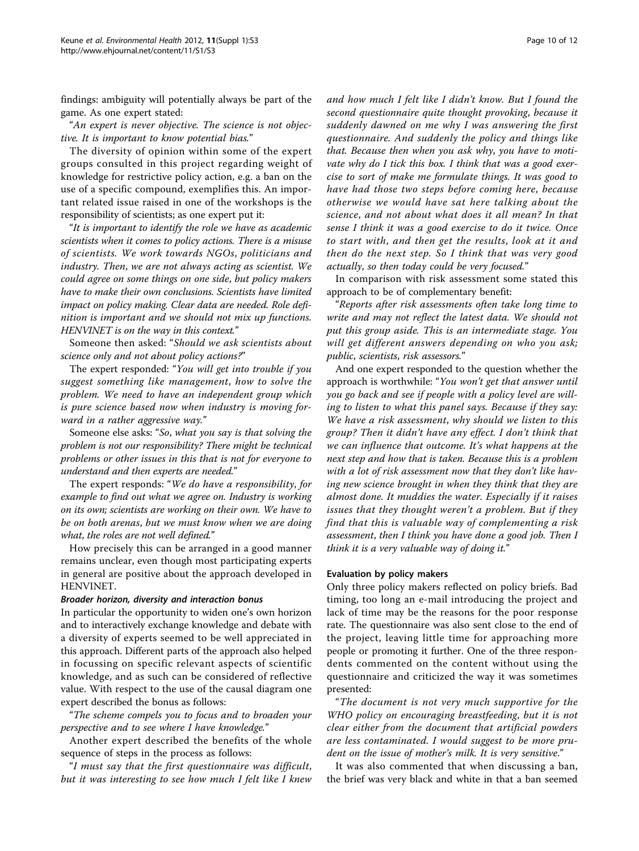findings: ambiguity will potentially always be part of the game. As one expert stated:

"An expert is never objective. The science is not objective. It is important to know potential bias."

The diversity of opinion within some of the expert groups consulted in this project regarding weight of knowledge for restrictive policy action, e.g. a ban on the use of a specific compound, exemplifies this. An important related issue raised in one of the workshops is the responsibility of scientists; as one expert put it:

"It is important to identify the role we have as academic scientists when it comes to policy actions. There is a misuse of scientists. We work towards NGOs, politicians and industry. Then, we are not always acting as scientist. We could agree on some things on one side, but policy makers have to make their own conclusions. Scientists have limited impact on policy making. Clear data are needed. Role definition is important and we should not mix up functions. HENVINET is on the way in this context."

Someone then asked: "Should we ask scientists about science only and not about policy actions?"

The expert responded: "You will get into trouble if you suggest something like management, how to solve the problem. We need to have an independent group which is pure science based now when industry is moving forward in a rather aggressive way."

Someone else asks: "So, what you say is that solving the problem is not our responsibility? There might be technical problems or other issues in this that is not for everyone to understand and then experts are needed."

The expert responds: "We do have a responsibility, for example to find out what we agree on. Industry is working on its own; scientists are working on their own. We have to be on both arenas, but we must know when we are doing what, the roles are not well defined."

How precisely this can be arranged in a good manner remains unclear, even though most participating experts in general are positive about the approach developed in HENVINET.

#### Broader horizon, diversity and interaction bonus

In particular the opportunity to widen one's own horizon and to interactively exchange knowledge and debate with a diversity of experts seemed to be well appreciated in this approach. Different parts of the approach also helped in focussing on specific relevant aspects of scientific knowledge, and as such can be considered of reflective value. With respect to the use of the causal diagram one expert described the bonus as follows:

"The scheme compels you to focus and to broaden your perspective and to see where I have knowledge."

Another expert described the benefits of the whole sequence of steps in the process as follows:

"I must say that the first questionnaire was difficult, but it was interesting to see how much I felt like I knew and how much I felt like I didn't know. But I found the second questionnaire quite thought provoking, because it suddenly dawned on me why I was answering the first questionnaire. And suddenly the policy and things like that. Because then when you ask why, you have to motivate why do I tick this box. I think that was a good exercise to sort of make me formulate things. It was good to have had those two steps before coming here, because otherwise we would have sat here talking about the science, and not about what does it all mean? In that sense I think it was a good exercise to do it twice. Once to start with, and then get the results, look at it and then do the next step. So I think that was very good actually, so then today could be very focused."

In comparison with risk assessment some stated this approach to be of complementary benefit:

"Reports after risk assessments often take long time to write and may not reflect the latest data. We should not put this group aside. This is an intermediate stage. You will get different answers depending on who you ask; public, scientists, risk assessors."

And one expert responded to the question whether the approach is worthwhile: "You won't get that answer until you go back and see if people with a policy level are willing to listen to what this panel says. Because if they say: We have a risk assessment, why should we listen to this group? Then it didn't have any effect. I don't think that we can influence that outcome. It's what happens at the next step and how that is taken. Because this is a problem with a lot of risk assessment now that they don't like having new science brought in when they think that they are almost done. It muddies the water. Especially if it raises issues that they thought weren't a problem. But if they find that this is valuable way of complementing a risk assessment, then I think you have done a good job. Then I think it is a very valuable way of doing it."

#### Evaluation by policy makers

Only three policy makers reflected on policy briefs. Bad timing, too long an e-mail introducing the project and lack of time may be the reasons for the poor response rate. The questionnaire was also sent close to the end of the project, leaving little time for approaching more people or promoting it further. One of the three respondents commented on the content without using the questionnaire and criticized the way it was sometimes presented:

"The document is not very much supportive for the WHO policy on encouraging breastfeeding, but it is not clear either from the document that artificial powders are less contaminated. I would suggest to be more prudent on the issue of mother's milk. It is very sensitive."

It was also commented that when discussing a ban, the brief was very black and white in that a ban seemed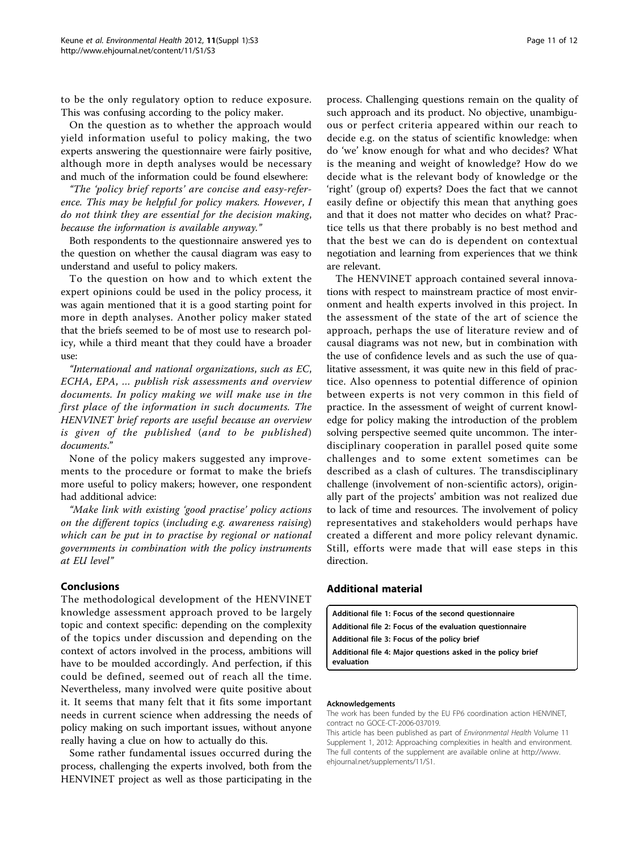<span id="page-10-0"></span>to be the only regulatory option to reduce exposure. This was confusing according to the policy maker.

On the question as to whether the approach would yield information useful to policy making, the two experts answering the questionnaire were fairly positive, although more in depth analyses would be necessary and much of the information could be found elsewhere:

"The 'policy brief reports' are concise and easy-reference. This may be helpful for policy makers. However, I do not think they are essential for the decision making, because the information is available anyway."

Both respondents to the questionnaire answered yes to the question on whether the causal diagram was easy to understand and useful to policy makers.

To the question on how and to which extent the expert opinions could be used in the policy process, it was again mentioned that it is a good starting point for more in depth analyses. Another policy maker stated that the briefs seemed to be of most use to research policy, while a third meant that they could have a broader use:

"International and national organizations, such as EC, ECHA, EPA, … publish risk assessments and overview documents. In policy making we will make use in the first place of the information in such documents. The HENVINET brief reports are useful because an overview is given of the published (and to be published) documents."

None of the policy makers suggested any improvements to the procedure or format to make the briefs more useful to policy makers; however, one respondent had additional advice:

"Make link with existing 'good practise' policy actions on the different topics (including e.g. awareness raising) which can be put in to practise by regional or national governments in combination with the policy instruments at EU level"

#### Conclusions

The methodological development of the HENVINET knowledge assessment approach proved to be largely topic and context specific: depending on the complexity of the topics under discussion and depending on the context of actors involved in the process, ambitions will have to be moulded accordingly. And perfection, if this could be defined, seemed out of reach all the time. Nevertheless, many involved were quite positive about it. It seems that many felt that it fits some important needs in current science when addressing the needs of policy making on such important issues, without anyone really having a clue on how to actually do this.

Some rather fundamental issues occurred during the process, challenging the experts involved, both from the HENVINET project as well as those participating in the process. Challenging questions remain on the quality of such approach and its product. No objective, unambiguous or perfect criteria appeared within our reach to decide e.g. on the status of scientific knowledge: when do 'we' know enough for what and who decides? What is the meaning and weight of knowledge? How do we decide what is the relevant body of knowledge or the 'right' (group of) experts? Does the fact that we cannot easily define or objectify this mean that anything goes and that it does not matter who decides on what? Practice tells us that there probably is no best method and that the best we can do is dependent on contextual negotiation and learning from experiences that we think are relevant.

The HENVINET approach contained several innovations with respect to mainstream practice of most environment and health experts involved in this project. In the assessment of the state of the art of science the approach, perhaps the use of literature review and of causal diagrams was not new, but in combination with the use of confidence levels and as such the use of qualitative assessment, it was quite new in this field of practice. Also openness to potential difference of opinion between experts is not very common in this field of practice. In the assessment of weight of current knowledge for policy making the introduction of the problem solving perspective seemed quite uncommon. The interdisciplinary cooperation in parallel posed quite some challenges and to some extent sometimes can be described as a clash of cultures. The transdisciplinary challenge (involvement of non-scientific actors), originally part of the projects' ambition was not realized due to lack of time and resources. The involvement of policy representatives and stakeholders would perhaps have created a different and more policy relevant dynamic. Still, efforts were made that will ease steps in this direction.

#### Additional material

- [Additional file 1: F](http://www.biomedcentral.com/content/supplementary/1476-069X-11-S1-S3-S1.pdf)ocus of the second questionnaire [Additional file 2: F](http://www.biomedcentral.com/content/supplementary/1476-069X-11-S1-S3-S2.pdf)ocus of the evaluation questionnaire
- [Additional file 3: F](http://www.biomedcentral.com/content/supplementary/1476-069X-11-S1-S3-S3.pdf)ocus of the policy brief

[Additional file 4: M](http://www.biomedcentral.com/content/supplementary/1476-069X-11-S1-S3-S4.pdf)ajor questions asked in the policy brief evaluation

#### Acknowledgements

The work has been funded by the EU FP6 coordination action HENVINET, contract no GOCE-CT-2006-037019.

This article has been published as part of Environmental Health Volume 11 Supplement 1, 2012: Approaching complexities in health and environment. The full contents of the supplement are available online at [http://www.](http://www.ehjournal.net/supplements/11/S1) [ehjournal.net/supplements/11/S1](http://www.ehjournal.net/supplements/11/S1).